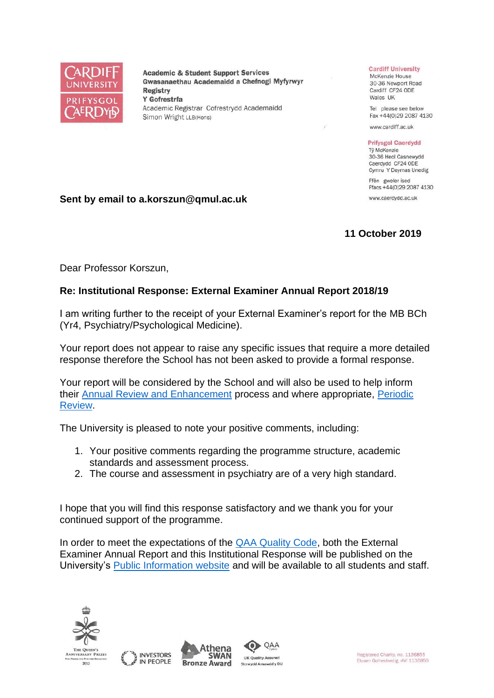

**Academic & Student Support Services** Gwasanaethau Academaidd a Chefnogi Myfyrwyr **Registry** Y Gofrestrfa Academic Registrar Cofrestrydd Academaidd Simon Wright LLB(Hons)

#### **Cardiff University**

McKenzie House 30-36 Newport Road Cardiff CF24 ODE Wales UK

Tel please see below Fax +44(0)29 2087 4130

www.cardiff.ac.uk

### **Prifysgol Caerdydd**

Tỷ McKenzie 30-36 Heol Casnewydd Caerdydd CF24 ODE Cymru Y Deyrnas Unedig

Ffôn gweler isod Ffacs +44(0)29 2087 4130

www.caerdydd.ac.uk

## **Sent by email to a.korszun@qmul.ac.uk**

# **11 October 2019**

Dear Professor Korszun,

# **Re: Institutional Response: External Examiner Annual Report 2018/19**

I am writing further to the receipt of your External Examiner's report for the MB BCh (Yr4, Psychiatry/Psychological Medicine).

Your report does not appear to raise any specific issues that require a more detailed response therefore the School has not been asked to provide a formal response.

Your report will be considered by the School and will also be used to help inform their [Annual Review and Enhancement](https://www.cardiff.ac.uk/public-information/quality-and-standards/monitoring-and-review/annual-review-and-enhancement) process and where appropriate, [Periodic](http://www.cardiff.ac.uk/public-information/quality-and-standards/monitoring-and-review/periodic-review)  [Review.](http://www.cardiff.ac.uk/public-information/quality-and-standards/monitoring-and-review/periodic-review)

The University is pleased to note your positive comments, including:

- 1. Your positive comments regarding the programme structure, academic standards and assessment process.
- 2. The course and assessment in psychiatry are of a very high standard.

I hope that you will find this response satisfactory and we thank you for your continued support of the programme.

In order to meet the expectations of the [QAA Quality Code,](http://www.qaa.ac.uk/quality-code/the-revised-uk-quality-code) both the External Examiner Annual Report and this Institutional Response will be published on the University's [Public Information website](http://www.cardiff.ac.uk/public-information/quality-and-standards/external-examiner-reports) and will be available to all students and staff.